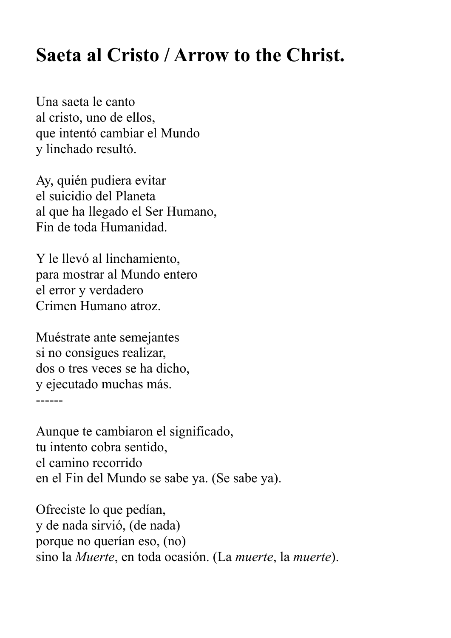## **Saeta al Cristo / Arrow to the Christ.**

Una saeta le canto al cristo, uno de ellos, que intentó cambiar el Mundo y linchado resultó.

Ay, quién pudiera evitar el suicidio del Planeta al que ha llegado el Ser Humano, Fin de toda Humanidad.

Y le llevó al linchamiento, para mostrar al Mundo entero el error y verdadero Crimen Humano atroz.

Muéstrate ante semejantes si no consigues realizar, dos o tres veces se ha dicho, y ejecutado muchas más. ------

Aunque te cambiaron el significado, tu intento cobra sentido, el camino recorrido en el Fin del Mundo se sabe ya. (Se sabe ya).

Ofreciste lo que pedían, y de nada sirvió, (de nada) porque no querían eso, (no) sino la *Muerte*, en toda ocasión. (La *muerte*, la *muerte*).